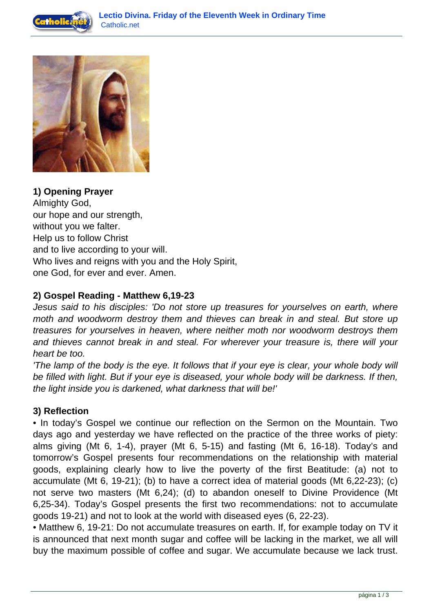



**1) Opening Prayer** Almighty God, our hope and our strength, without you we falter. Help us to follow Christ and to live according to your will. Who lives and reigns with you and the Holy Spirit, one God, for ever and ever. Amen.

## **2) Gospel Reading - Matthew 6,19-23**

Jesus said to his disciples: 'Do not store up treasures for yourselves on earth, where moth and woodworm destroy them and thieves can break in and steal. But store up treasures for yourselves in heaven, where neither moth nor woodworm destroys them and thieves cannot break in and steal. For wherever your treasure is, there will your heart be too.

'The lamp of the body is the eye. It follows that if your eye is clear, your whole body will be filled with light. But if your eye is diseased, your whole body will be darkness. If then, the light inside you is darkened, what darkness that will be!'

## **3) Reflection**

• In today's Gospel we continue our reflection on the Sermon on the Mountain. Two days ago and yesterday we have reflected on the practice of the three works of piety: alms giving (Mt 6, 1-4), prayer (Mt 6, 5-15) and fasting (Mt 6, 16-18). Today's and tomorrow's Gospel presents four recommendations on the relationship with material goods, explaining clearly how to live the poverty of the first Beatitude: (a) not to accumulate (Mt 6, 19-21); (b) to have a correct idea of material goods (Mt 6,22-23); (c) not serve two masters (Mt 6,24); (d) to abandon oneself to Divine Providence (Mt 6,25-34). Today's Gospel presents the first two recommendations: not to accumulate goods 19-21) and not to look at the world with diseased eyes (6, 22-23).

• Matthew 6, 19-21: Do not accumulate treasures on earth. If, for example today on TV it is announced that next month sugar and coffee will be lacking in the market, we all will buy the maximum possible of coffee and sugar. We accumulate because we lack trust.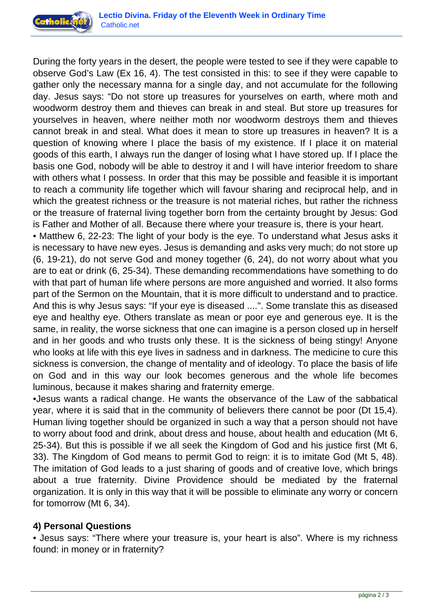

During the forty years in the desert, the people were tested to see if they were capable to observe God's Law (Ex 16, 4). The test consisted in this: to see if they were capable to gather only the necessary manna for a single day, and not accumulate for the following day. Jesus says: "Do not store up treasures for yourselves on earth, where moth and woodworm destroy them and thieves can break in and steal. But store up treasures for yourselves in heaven, where neither moth nor woodworm destroys them and thieves cannot break in and steal. What does it mean to store up treasures in heaven? It is a question of knowing where I place the basis of my existence. If I place it on material goods of this earth, I always run the danger of losing what I have stored up. If I place the basis one God, nobody will be able to destroy it and I will have interior freedom to share with others what I possess. In order that this may be possible and feasible it is important to reach a community life together which will favour sharing and reciprocal help, and in which the greatest richness or the treasure is not material riches, but rather the richness or the treasure of fraternal living together born from the certainty brought by Jesus: God is Father and Mother of all. Because there where your treasure is, there is your heart.

• Matthew 6, 22-23: The light of your body is the eye. To understand what Jesus asks it is necessary to have new eyes. Jesus is demanding and asks very much; do not store up (6, 19-21), do not serve God and money together (6, 24), do not worry about what you are to eat or drink (6, 25-34). These demanding recommendations have something to do with that part of human life where persons are more anguished and worried. It also forms part of the Sermon on the Mountain, that it is more difficult to understand and to practice. And this is why Jesus says: "If your eye is diseased ....". Some translate this as diseased eye and healthy eye. Others translate as mean or poor eye and generous eye. It is the same, in reality, the worse sickness that one can imagine is a person closed up in herself and in her goods and who trusts only these. It is the sickness of being stingy! Anyone who looks at life with this eye lives in sadness and in darkness. The medicine to cure this sickness is conversion, the change of mentality and of ideology. To place the basis of life on God and in this way our look becomes generous and the whole life becomes luminous, because it makes sharing and fraternity emerge.

•Jesus wants a radical change. He wants the observance of the Law of the sabbatical year, where it is said that in the community of believers there cannot be poor (Dt 15,4). Human living together should be organized in such a way that a person should not have to worry about food and drink, about dress and house, about health and education (Mt 6, 25-34). But this is possible if we all seek the Kingdom of God and his justice first (Mt 6, 33). The Kingdom of God means to permit God to reign: it is to imitate God (Mt 5, 48). The imitation of God leads to a just sharing of goods and of creative love, which brings about a true fraternity. Divine Providence should be mediated by the fraternal organization. It is only in this way that it will be possible to eliminate any worry or concern for tomorrow (Mt 6, 34).

## **4) Personal Questions**

• Jesus says: "There where your treasure is, your heart is also". Where is my richness found: in money or in fraternity?